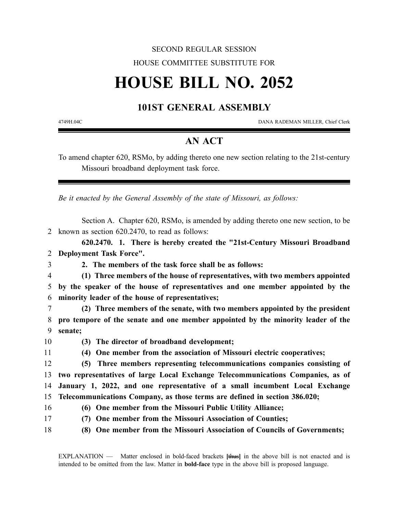## SECOND REGULAR SESSION HOUSE COMMITTEE SUBSTITUTE FOR

## **HOUSE BILL NO. 2052**

## **101ST GENERAL ASSEMBLY**

4749H.04C DANA RADEMAN MILLER, Chief Clerk

## **AN ACT**

To amend chapter 620, RSMo, by adding thereto one new section relating to the 21st-century Missouri broadband deployment task force.

*Be it enacted by the General Assembly of the state of Missouri, as follows:*

Section A. Chapter 620, RSMo, is amended by adding thereto one new section, to be 2 known as section 620.2470, to read as follows:

**620.2470. 1. There is hereby created the "21st-Century Missouri Broadband** 2 **Deployment Task Force".**

3 **2. The members of the task force shall be as follows:**

4 **(1) Three members of the house of representatives, with two members appointed** 5 **by the speaker of the house of representatives and one member appointed by the** 6 **minority leader of the house of representatives;**

7 **(2) Three members of the senate, with two members appointed by the president** 8 **pro tempore of the senate and one member appointed by the minority leader of the** 9 **senate;**

10 **(3) The director of broadband development;**

11 **(4) One member from the association of Missouri electric cooperatives;**

 **(5) Three members representing telecommunications companies consisting of two representatives of large Local Exchange Telecommunications Companies, as of January 1, 2022, and one representative of a small incumbent Local Exchange Telecommunications Company, as those terms are defined in section 386.020;**

16 **(6) One member from the Missouri Public Utility Alliance;**

- 
- 
- 17 **(7) One member from the Missouri Association of Counties;**
- 18 **(8) One member from the Missouri Association of Councils of Governments;**

EXPLANATION — Matter enclosed in bold-faced brackets **[**thus**]** in the above bill is not enacted and is intended to be omitted from the law. Matter in **bold-face** type in the above bill is proposed language.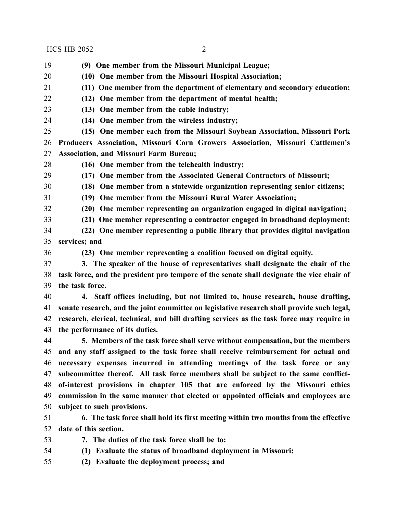HCS HB 2052 2

**(9) One member from the Missouri Municipal League;**

- **(10) One member from the Missouri Hospital Association;**
- **(11) One member from the department of elementary and secondary education;**
- **(12) One member from the department of mental health;**
- **(13) One member from the cable industry;**
- **(14) One member from the wireless industry;**

 **(15) One member each from the Missouri Soybean Association, Missouri Pork Producers Association, Missouri Corn Growers Association, Missouri Cattlemen's Association, and Missouri Farm Bureau;**

**(16) One member from the telehealth industry;**

**(17) One member from the Associated General Contractors of Missouri;**

**(18) One member from a statewide organization representing senior citizens;**

**(19) One member from the Missouri Rural Water Association;**

**(20) One member representing an organization engaged in digital navigation;**

**(21) One member representing a contractor engaged in broadband deployment;**

 **(22) One member representing a public library that provides digital navigation services; and**

- 
- **(23) One member representing a coalition focused on digital equity.**
- **3. The speaker of the house of representatives shall designate the chair of the task force, and the president pro tempore of the senate shall designate the vice chair of the task force.**

 **4. Staff offices including, but not limited to, house research, house drafting, senate research, and the joint committee on legislative research shall provide such legal, research, clerical, technical, and bill drafting services as the task force may require in the performance of its duties.**

 **5. Members of the task force shall serve without compensation, but the members and any staff assigned to the task force shall receive reimbursement for actual and necessary expenses incurred in attending meetings of the task force or any subcommittee thereof. All task force members shall be subject to the same conflict- of-interest provisions in chapter 105 that are enforced by the Missouri ethics commission in the same manner that elected or appointed officials and employees are subject to such provisions.**

 **6. The task force shall hold its first meeting within two months from the effective date of this section.**

**7. The duties of the task force shall be to:**

**(1) Evaluate the status of broadband deployment in Missouri;**

**(2) Evaluate the deployment process; and**